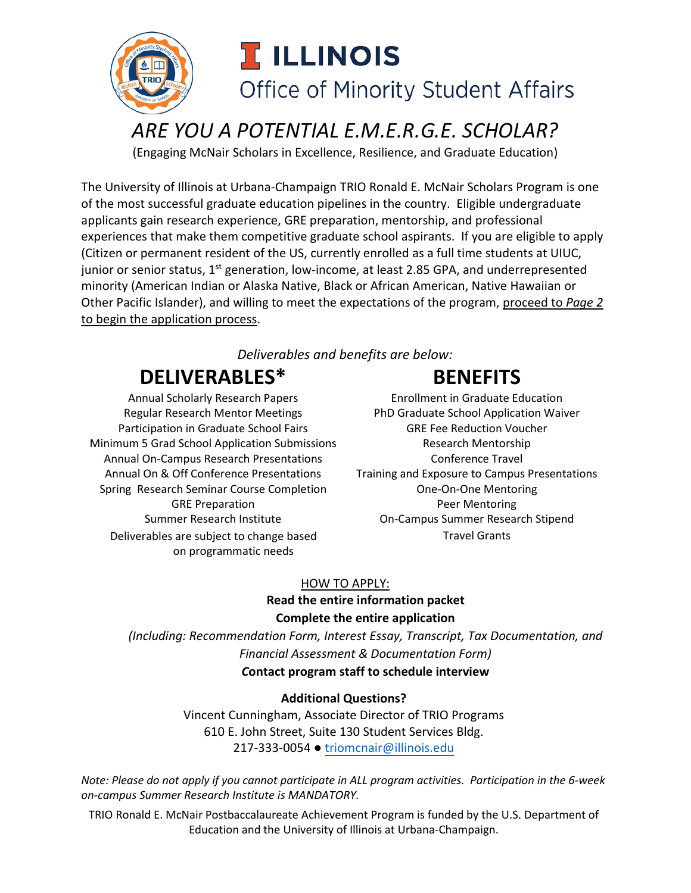

## *ARE YOU A POTENTIAL E.M.E.R.G.E. SCHOLAR?*

(Engaging McNair Scholars in Excellence, Resilience, and Graduate Education)

The University of Illinois at Urbana-Champaign TRIO Ronald E. McNair Scholars Program is one of the most successful graduate education pipelines in the country. Eligible undergraduate applicants gain research experience, GRE preparation, mentorship, and professional experiences that make them competitive graduate school aspirants. If you are eligible to apply (Citizen or permanent resident of the US, currently enrolled as a full time students at UIUC, junior or senior status,  $1<sup>st</sup>$  generation, low-income, at least 2.85 GPA, and underrepresented minority (American Indian or Alaska Native, Black or African American, Native Hawaiian or Other Pacific Islander), and willing to meet the expectations of the program, proceed to *Page 2* to begin the application process.

### *Deliverables and benefits are below:*

# **DELIVERABLES\* BENEFITS**

Participation in Graduate School Fairs GRE Fee Reduction Voucher Minimum 5 Grad School Application Submissions The Research Mentorship Annual On-Campus Research Presentations Travel Conference Travel Spring Research Seminar Course Completion One-On-One Mentoring GRE Preparation **Peer Mentoring** Deliverables are subject to change based on programmatic needs

Annual Scholarly Research Papers **Enrollment in Graduate Education** Regular Research Mentor Meetings PhD Graduate School Application Waiver Annual On & Off Conference Presentations Training and Exposure to Campus Presentations Summer Research Institute On-Campus Summer Research Stipend Travel Grants

### HOW TO APPLY: **Read the entire information packet Complete the entire application**

*(Including: Recommendation Form, Interest Essay, Transcript, Tax Documentation, and Financial Assessment & Documentation Form) C***ontact program staff to schedule interview**

### **Additional Questions?**

Vincent Cunningham, Associate Director of TRIO Programs 610 E. John Street, Suite 130 Student Services Bldg. 217-333-0054 ● t[riomcnair@illinois.edu](mailto:triomcnair@illinois.edu)

*Note: Please do not apply if you cannot participate in ALL program activities. Participation in the 6-week on-campus Summer Research Institute is MANDATORY.*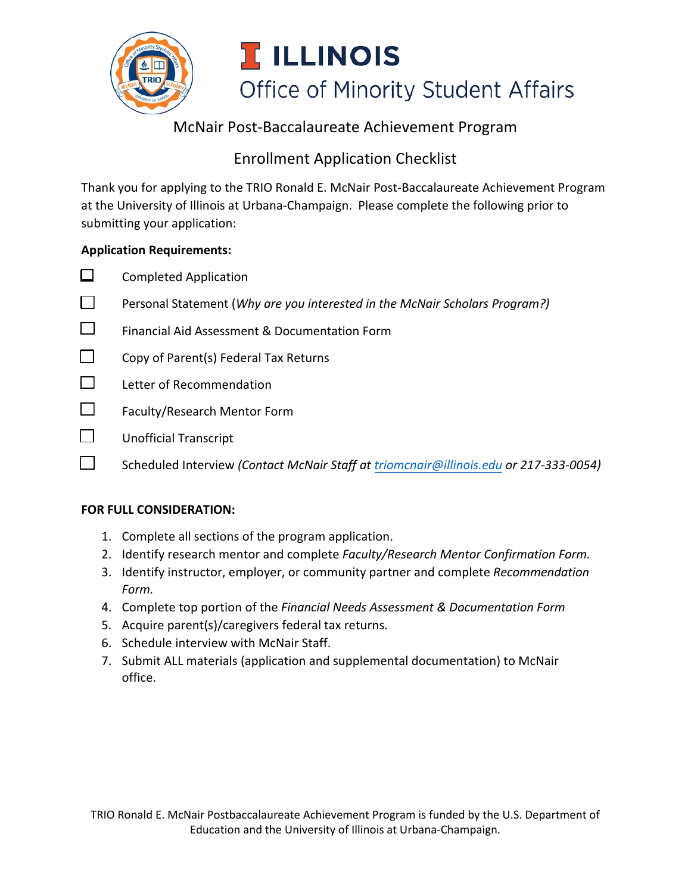

### McNair Post-Baccalaureate Achievement Program

### Enrollment Application Checklist

Thank you for applying to the TRIO Ronald E. McNair Post-Baccalaureate Achievement Program at the University of Illinois at Urbana-Champaign. Please complete the following prior to submitting your application:

#### **Application Requirements:**

|              | <b>Completed Application</b>                                                          |
|--------------|---------------------------------------------------------------------------------------|
|              | Personal Statement (Why are you interested in the McNair Scholars Program?)           |
|              | Financial Aid Assessment & Documentation Form                                         |
|              | Copy of Parent(s) Federal Tax Returns                                                 |
| $\mathsf{I}$ | Letter of Recommendation                                                              |
| $\Box$       | Faculty/Research Mentor Form                                                          |
|              | <b>Unofficial Transcript</b>                                                          |
|              | Scheduled Interview (Contact McNair Staff at triomcnair@illinois.edu or 217-333-0054) |

#### **FOR FULL CONSIDERATION:**

- 1. Complete all sections of the program application.
- 2. Identify research mentor and complete *Faculty/Research Mentor Confirmation Form.*
- 3. Identify instructor, employer, or community partner and complete *Recommendation Form.*
- 4. Complete top portion of the *Financial Needs Assessment & Documentation Form*
- 5. Acquire parent(s)/caregivers federal tax returns.
- 6. Schedule interview with McNair Staff.
- 7. Submit ALL materials (application and supplemental documentation) to McNair office.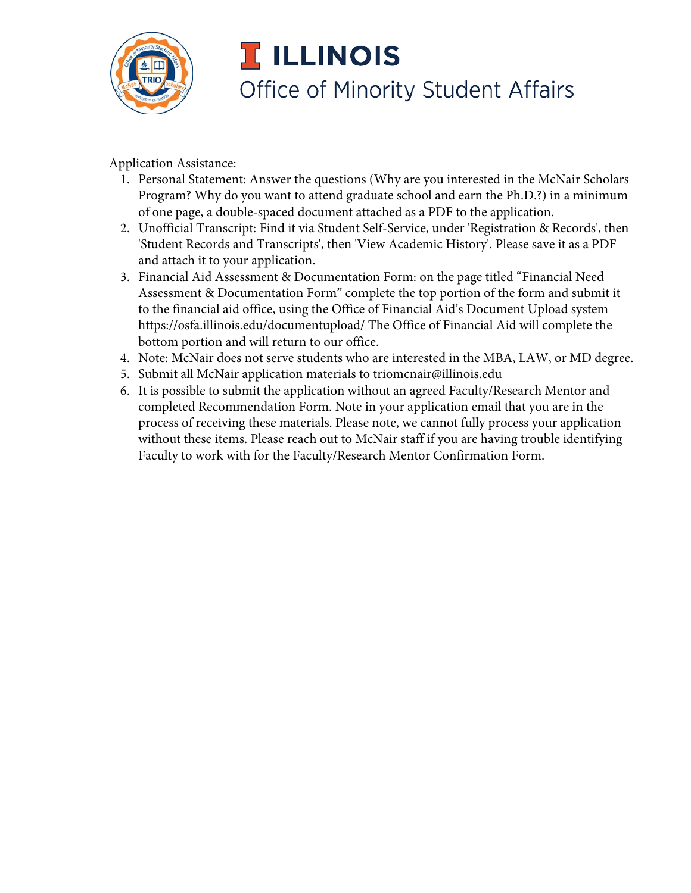

Application Assistance:

- 1. Personal Statement: Answer the questions (Why are you interested in the McNair Scholars Program? Why do you want to attend graduate school and earn the Ph.D.?) in a minimum of one page, a double-spaced document attached as a PDF to the application.
- 2. Unofficial Transcript: Find it via Student Self-Service, under 'Registration & Records', then 'Student Records and Transcripts', then 'View Academic History'. Please save it as a PDF and attach it to your application.
- 3. Financial Aid Assessment & Documentation Form: on the page titled "Financial Need Assessment & Documentation Form" complete the top portion of the form and submit it to the financial aid office, using the Office of Financial Aid's Document Upload system https://osfa.illinois.edu/documentupload/ The Office of Financial Aid will complete the bottom portion and will return to our office.
- 4. Note: McNair does not serve students who are interested in the MBA, LAW, or MD degree.
- 5. Submit all McNair application materials to triomcnair@illinois.edu
- 6. It is possible to submit the application without an agreed Faculty/Research Mentor and completed Recommendation Form. Note in your application email that you are in the process of receiving these materials. Please note, we cannot fully process your application without these items. Please reach out to McNair staff if you are having trouble identifying Faculty to work with for the Faculty/Research Mentor Confirmation Form.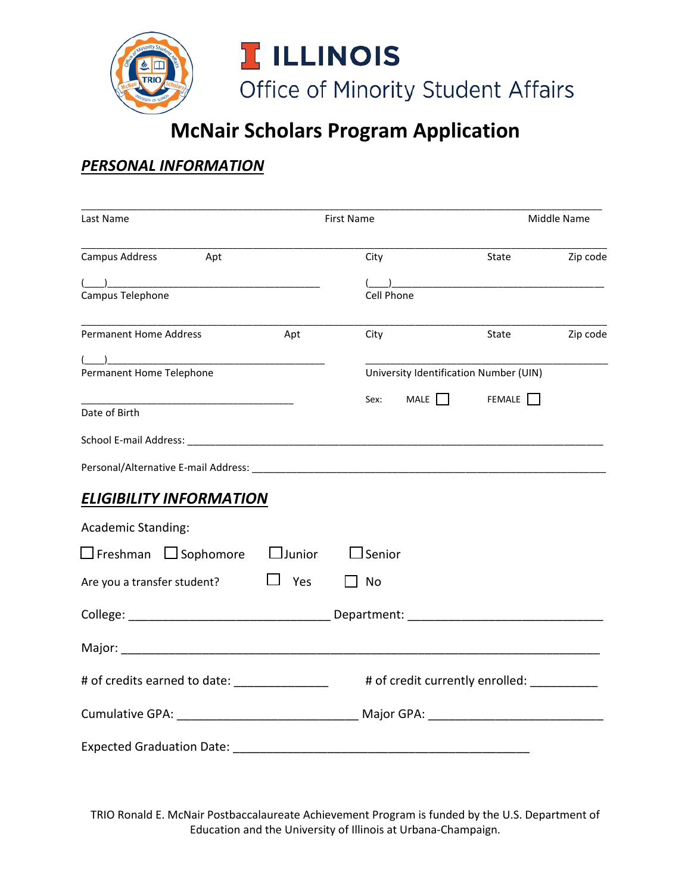

# **McNair Scholars Program Application**

### *PERSONAL INFORMATION*

| Last Name                                                                                                                                                                                                                                                                                                                                                                         | <b>First Name</b> |                   | Middle Name |                                            |          |
|-----------------------------------------------------------------------------------------------------------------------------------------------------------------------------------------------------------------------------------------------------------------------------------------------------------------------------------------------------------------------------------|-------------------|-------------------|-------------|--------------------------------------------|----------|
| Campus Address<br>Apt                                                                                                                                                                                                                                                                                                                                                             |                   | City              |             | State                                      | Zip code |
| $\begin{picture}(150,10) \put(0,0){\vector(1,0){100}} \put(15,0){\vector(1,0){100}} \put(15,0){\vector(1,0){100}} \put(15,0){\vector(1,0){100}} \put(15,0){\vector(1,0){100}} \put(15,0){\vector(1,0){100}} \put(15,0){\vector(1,0){100}} \put(15,0){\vector(1,0){100}} \put(15,0){\vector(1,0){100}} \put(15,0){\vector(1,0){100}} \put(15,0){\vector(1,0){100}}$                |                   |                   |             |                                            |          |
| Campus Telephone                                                                                                                                                                                                                                                                                                                                                                  |                   | <b>Cell Phone</b> |             |                                            |          |
| <b>Permanent Home Address</b>                                                                                                                                                                                                                                                                                                                                                     | Apt               | City              |             | State                                      | Zip code |
| $\begin{picture}(150,10) \put(0,0){\dashbox{0.5}(10,0){ }} \put(150,0){\circle{10}} \put(150,0){\circle{10}} \put(150,0){\circle{10}} \put(150,0){\circle{10}} \put(150,0){\circle{10}} \put(150,0){\circle{10}} \put(150,0){\circle{10}} \put(150,0){\circle{10}} \put(150,0){\circle{10}} \put(150,0){\circle{10}} \put(150,0){\circle{10}} \put(150,0){\circle{10}} \put(150,$ |                   |                   |             |                                            |          |
| Permanent Home Telephone                                                                                                                                                                                                                                                                                                                                                          |                   |                   |             | University Identification Number (UIN)     |          |
|                                                                                                                                                                                                                                                                                                                                                                                   |                   |                   |             | Sex: MALE $\Box$ FEMALE $\Box$             |          |
| Date of Birth                                                                                                                                                                                                                                                                                                                                                                     |                   |                   |             |                                            |          |
|                                                                                                                                                                                                                                                                                                                                                                                   |                   |                   |             |                                            |          |
|                                                                                                                                                                                                                                                                                                                                                                                   |                   |                   |             |                                            |          |
| <b>ELIGIBILITY INFORMATION</b>                                                                                                                                                                                                                                                                                                                                                    |                   |                   |             |                                            |          |
| <b>Academic Standing:</b>                                                                                                                                                                                                                                                                                                                                                         |                   |                   |             |                                            |          |
| $\square$ Freshman $\;\square$ Sophomore $\;\square$ Junior                                                                                                                                                                                                                                                                                                                       |                   | $\Box$ Senior     |             |                                            |          |
| Are you a transfer student?                                                                                                                                                                                                                                                                                                                                                       | $\Box$ Yes        | $\Box$ No         |             |                                            |          |
|                                                                                                                                                                                                                                                                                                                                                                                   |                   |                   |             |                                            |          |
|                                                                                                                                                                                                                                                                                                                                                                                   |                   |                   |             |                                            |          |
| # of credits earned to date: _________________                                                                                                                                                                                                                                                                                                                                    |                   |                   |             | # of credit currently enrolled: __________ |          |
| Cumulative GPA: _________________________________ Major GPA: ____________________                                                                                                                                                                                                                                                                                                 |                   |                   |             |                                            |          |
| Expected Graduation Date: Note that the state of the state of the state of the state of the state of the state of the state of the state of the state of the state of the state of the state of the state of the state of the                                                                                                                                                     |                   |                   |             |                                            |          |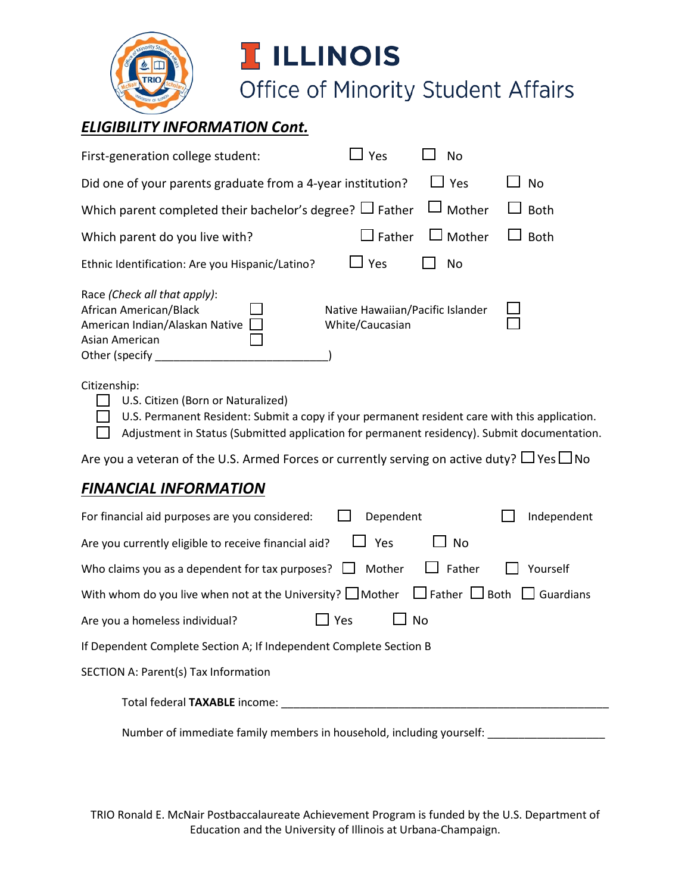

# **I** ILLINOIS

Office of Minority Student Affairs

### *ELIGIBILITY INFORMATION Cont.*

| First-generation college student:                                                                                                                                                                                                                  | ⊿ Yes                                               | <b>No</b>     |             |  |  |
|----------------------------------------------------------------------------------------------------------------------------------------------------------------------------------------------------------------------------------------------------|-----------------------------------------------------|---------------|-------------|--|--|
| Did one of your parents graduate from a 4-year institution?                                                                                                                                                                                        |                                                     | $\Box$ Yes    | <b>No</b>   |  |  |
| Which parent completed their bachelor's degree? $\Box$ Father                                                                                                                                                                                      |                                                     | $\Box$ Mother | <b>Both</b> |  |  |
| Which parent do you live with?                                                                                                                                                                                                                     | $\Box$ Father                                       | $\Box$ Mother | <b>Both</b> |  |  |
| Ethnic Identification: Are you Hispanic/Latino?                                                                                                                                                                                                    | $\Box$ Yes                                          | No            |             |  |  |
| Race (Check all that apply):<br>African American/Black<br>American Indian/Alaskan Native<br>Asian American<br>Other (specify                                                                                                                       | Native Hawaiian/Pacific Islander<br>White/Caucasian |               |             |  |  |
| Citizenship:<br>U.S. Citizen (Born or Naturalized)<br>U.S. Permanent Resident: Submit a copy if your permanent resident care with this application.<br>Adjustment in Status (Submitted application for permanent residency). Submit documentation. |                                                     |               |             |  |  |
| Are you a veteran of the U.S. Armed Forces or currently serving on active duty? $\Box$ Yes $\Box$ No                                                                                                                                               |                                                     |               |             |  |  |
| <u>FINANCIAL INFORMATION</u>                                                                                                                                                                                                                       |                                                     |               |             |  |  |
| For financial aid purposes are you considered:                                                                                                                                                                                                     | Dependent                                           |               | Independent |  |  |
| Are you currently eligible to receive financial aid?                                                                                                                                                                                               | ⊿ Yes                                               | No            |             |  |  |
| Who claims you as a dependent for tax purposes? $\Box$ Mother                                                                                                                                                                                      |                                                     | Father        | Yourself    |  |  |
| With whom do you live when not at the University? $\square$ Mother $\;\;\square$ Father $\;\square$ Both $\;\square$ Guardians                                                                                                                     |                                                     |               |             |  |  |
| Are you a homeless individual?                                                                                                                                                                                                                     | Yes                                                 | <b>No</b>     |             |  |  |
| If Dependent Complete Section A; If Independent Complete Section B                                                                                                                                                                                 |                                                     |               |             |  |  |
| <b>SECTION A: Parent(s) Tax Information</b>                                                                                                                                                                                                        |                                                     |               |             |  |  |
|                                                                                                                                                                                                                                                    |                                                     |               |             |  |  |
| Number of immediate family members in household, including yourself: __________________                                                                                                                                                            |                                                     |               |             |  |  |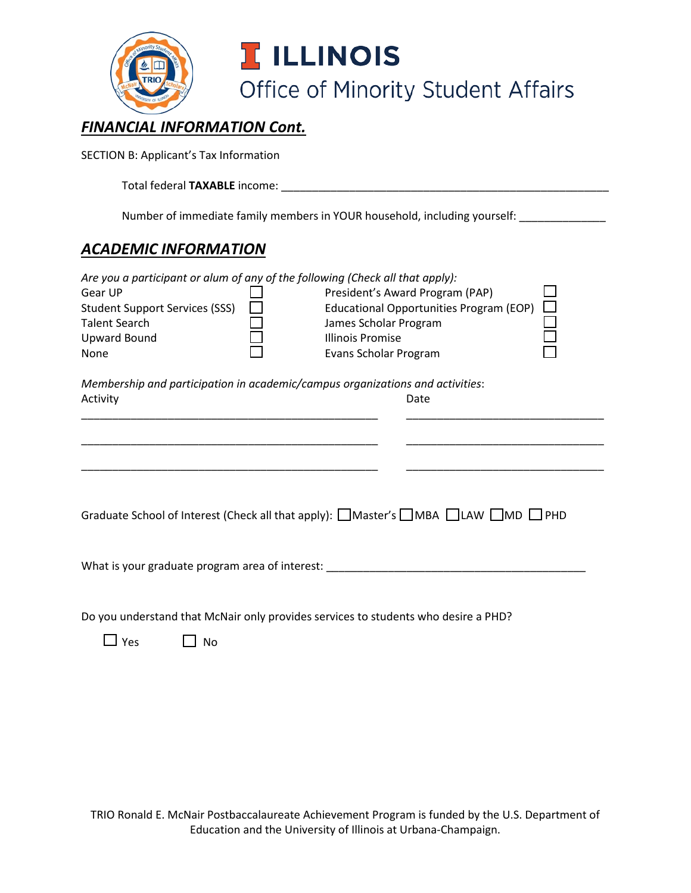

### *FINANCIAL INFORMATION Cont.*

SECTION B: Applicant's Tax Information

Total federal **TAXABLE** income: \_\_\_\_\_\_\_\_\_\_\_\_\_\_\_\_\_\_\_\_\_\_\_\_\_\_\_\_\_\_\_\_\_\_\_\_\_\_\_\_\_\_\_\_\_\_\_\_\_\_\_\_\_

Number of immediate family members in YOUR household, including yourself: \_\_\_\_\_\_\_\_\_\_\_\_

### *ACADEMIC INFORMATION*

| Are you a participant or alum of any of the following (Check all that apply):<br>Gear UP<br><b>Student Support Services (SSS)</b><br><b>Talent Search</b><br><b>Upward Bound</b><br>None |  | President's Award Program (PAP)<br><b>Educational Opportunities Program (EOP)</b><br>James Scholar Program<br>Illinois Promise<br>Evans Scholar Program |      |  |  |
|------------------------------------------------------------------------------------------------------------------------------------------------------------------------------------------|--|---------------------------------------------------------------------------------------------------------------------------------------------------------|------|--|--|
| Membership and participation in academic/campus organizations and activities:                                                                                                            |  |                                                                                                                                                         |      |  |  |
| Activity                                                                                                                                                                                 |  |                                                                                                                                                         | Date |  |  |
|                                                                                                                                                                                          |  |                                                                                                                                                         |      |  |  |
| Graduate School of Interest (Check all that apply): $\Box$ Master's $\Box$ MBA $\Box$ LAW $\Box$ MD $\Box$ PHD                                                                           |  |                                                                                                                                                         |      |  |  |
| What is your graduate program area of interest:                                                                                                                                          |  |                                                                                                                                                         |      |  |  |

Do you understand that McNair only provides services to students who desire a PHD?

 $\Box$  Yes  $\Box$  No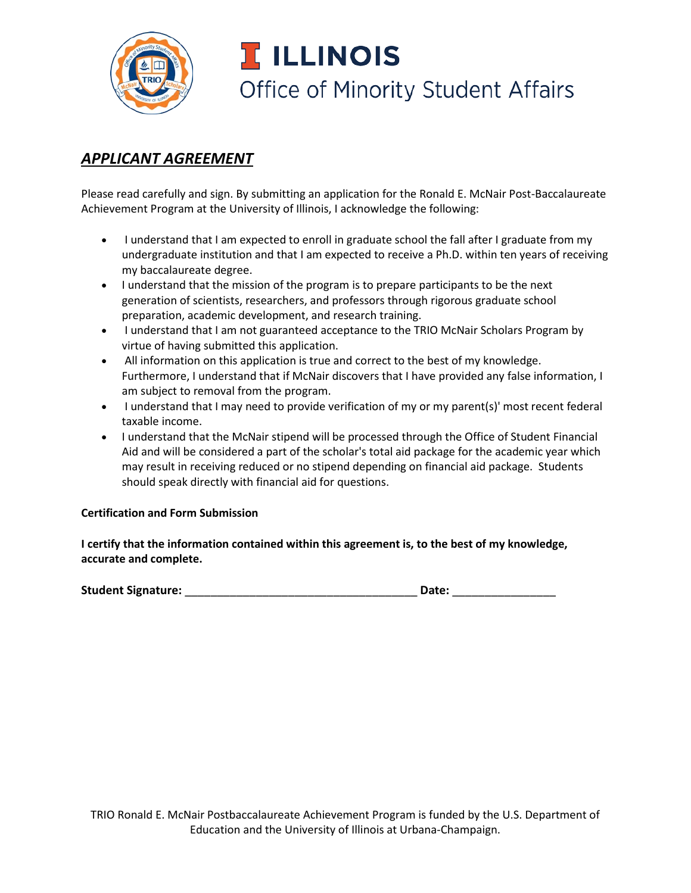

### *APPLICANT AGREEMENT*

Please read carefully and sign. By submitting an application for the Ronald E. McNair Post-Baccalaureate Achievement Program at the University of Illinois, I acknowledge the following:

- I understand that I am expected to enroll in graduate school the fall after I graduate from my undergraduate institution and that I am expected to receive a Ph.D. within ten years of receiving my baccalaureate degree.
- I understand that the mission of the program is to prepare participants to be the next generation of scientists, researchers, and professors through rigorous graduate school preparation, academic development, and research training.
- I understand that I am not guaranteed acceptance to the TRIO McNair Scholars Program by virtue of having submitted this application.
- All information on this application is true and correct to the best of my knowledge. Furthermore, I understand that if McNair discovers that I have provided any false information, I am subject to removal from the program.
- I understand that I may need to provide verification of my or my parent(s)' most recent federal taxable income.
- I understand that the McNair stipend will be processed through the Office of Student Financial Aid and will be considered a part of the scholar's total aid package for the academic year which may result in receiving reduced or no stipend depending on financial aid package. Students should speak directly with financial aid for questions.

#### **Certification and Form Submission**

**I certify that the information contained within this agreement is, to the best of my knowledge, accurate and complete.**

**Student Signature:** \_\_\_\_\_\_\_\_\_\_\_\_\_\_\_\_\_\_\_\_\_\_\_\_\_\_\_\_\_\_\_\_\_\_\_\_ **Date:** \_\_\_\_\_\_\_\_\_\_\_\_\_\_\_\_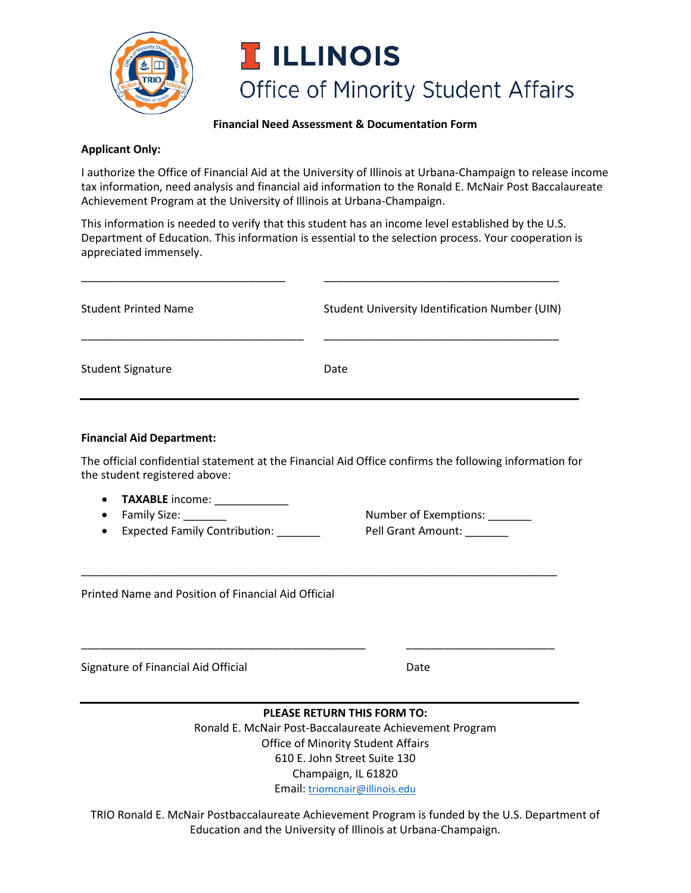

#### **Financial Need Assessment & Documentation Form**

#### **Applicant Only:**

I authorize the Office of Financial Aid at the University of Illinois at Urbana-Champaign to release income tax information, need analysis and financial aid information to the Ronald E. McNair Post Baccalaureate Achievement Program at the University of Illinois at Urbana-Champaign.

This information is needed to verify that this student has an income level established by the U.S. Department of Education. This information is essential to the selection process. Your cooperation is appreciated immensely.

| <b>Student Printed Name</b> | Student University Identification Number (UIN) |  |  |  |
|-----------------------------|------------------------------------------------|--|--|--|
| <b>Student Signature</b>    | Date                                           |  |  |  |

\_\_\_\_\_\_\_\_\_\_\_\_\_\_\_\_\_\_\_\_\_\_\_\_\_\_\_\_\_\_\_\_\_ \_\_\_\_\_\_\_\_\_\_\_\_\_\_\_\_\_\_\_\_\_\_\_\_\_\_\_\_\_\_\_\_\_\_\_\_\_\_

#### **Financial Aid Department:**

The official confidential statement at the Financial Aid Office confirms the following information for the student registered above:

\_\_\_\_\_\_\_\_\_\_\_\_\_\_\_\_\_\_\_\_\_\_\_\_\_\_\_\_\_\_\_\_\_\_\_\_\_\_\_\_\_\_\_\_\_\_\_\_\_\_\_\_\_\_\_\_\_\_\_\_\_\_\_\_\_\_\_\_\_\_\_\_\_\_\_\_\_

\_\_\_\_\_\_\_\_\_\_\_\_\_\_\_\_\_\_\_\_\_\_\_\_\_\_\_\_\_\_\_\_\_\_\_\_\_\_\_\_\_\_\_\_\_\_ \_\_\_\_\_\_\_\_\_\_\_\_\_\_\_\_\_\_\_\_\_\_\_\_

- **TAXABLE** income: \_\_\_\_\_\_\_\_\_\_\_\_\_
- 
- Expected Family Contribution: Letter Levell Grant Amount: Letter Levell Grant Amount:

• Family Size: \_\_\_\_\_\_\_ Number of Exemptions: \_\_\_\_\_\_\_

Printed Name and Position of Financial Aid Official

Signature of Financial Aid Official **Date** Date

#### **PLEASE RETURN THIS FORM TO:**

Ronald E. McNair Post-Baccalaureate Achievement Program Office of Minority Student Affairs 610 E. John Street Suite 130 Champaign, IL 61820 Email: [triomcnair@illinois.edu](mailto:triomcnair@illinois.edu)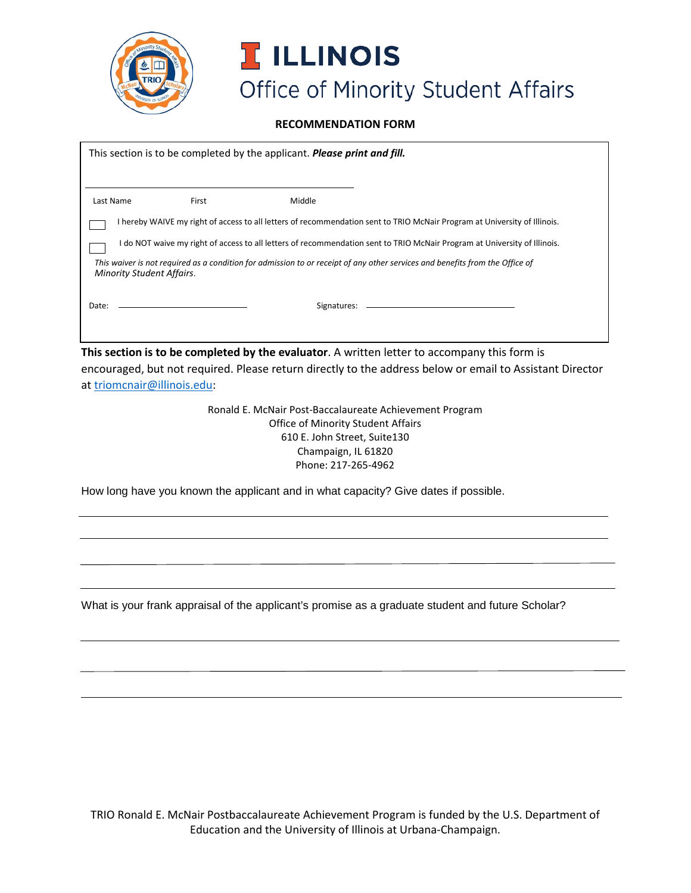

**RECOMMENDATION FORM**

|                                                                                                                                                                  |       | This section is to be completed by the applicant. <b>Please print and fill.</b> |                                                                                                                           |  |  |
|------------------------------------------------------------------------------------------------------------------------------------------------------------------|-------|---------------------------------------------------------------------------------|---------------------------------------------------------------------------------------------------------------------------|--|--|
| Last Name                                                                                                                                                        | First | Middle                                                                          |                                                                                                                           |  |  |
|                                                                                                                                                                  |       |                                                                                 | I hereby WAIVE my right of access to all letters of recommendation sent to TRIO McNair Program at University of Illinois. |  |  |
| I do NOT waive my right of access to all letters of recommendation sent to TRIO McNair Program at University of Illinois.                                        |       |                                                                                 |                                                                                                                           |  |  |
| This waiver is not required as a condition for admission to or receipt of any other services and benefits from the Office of<br><b>Minority Student Affairs.</b> |       |                                                                                 |                                                                                                                           |  |  |
| Date:                                                                                                                                                            |       | Signatures:                                                                     |                                                                                                                           |  |  |
|                                                                                                                                                                  |       |                                                                                 |                                                                                                                           |  |  |

**This section is to be completed by the evaluator**. A written letter to accompany this form is encouraged, but not required. Please return directly to the address below or email to Assistant Director at [triomcnair@illinois.edu:](mailto:triomcnair@illinois.edu)

> Ronald E. McNair Post-Baccalaureate Achievement Program Office of Minority Student Affairs 610 E. John Street, Suite130 Champaign, IL 61820 Phone: 217-265-4962

How long have you known the applicant and in what capacity? Give dates if possible.

What is your frank appraisal of the applicant's promise as a graduate student and future Scholar?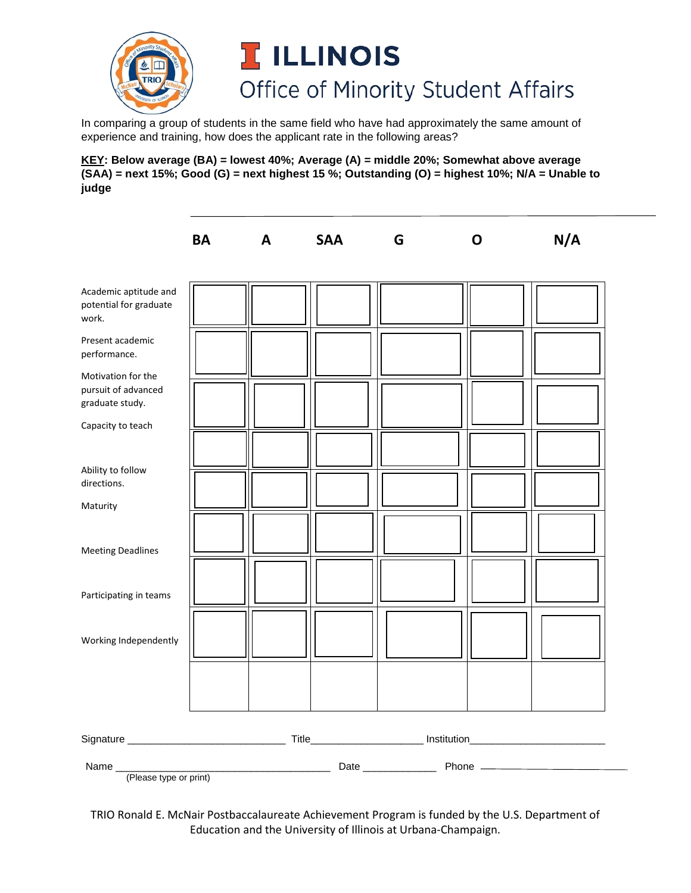

In comparing a group of students in the same field who have had approximately the same amount of experience and training, how does the applicant rate in the following areas?

**KEY: Below average (BA) = lowest 40%; Average (A) = middle 20%; Somewhat above average (SAA) = next 15%; Good (G) = next highest 15 %; Outstanding (O) = highest 10%; N/A = Unable to judge** 

|                                        | <b>BA</b> | A | <b>SAA</b> | G | O | N/A |
|----------------------------------------|-----------|---|------------|---|---|-----|
| Academic aptitude and                  |           |   |            |   |   |     |
| potential for graduate<br>work.        |           |   |            |   |   |     |
| Present academic<br>performance.       |           |   |            |   |   |     |
| Motivation for the                     |           |   |            |   |   |     |
| pursuit of advanced<br>graduate study. |           |   |            |   |   |     |
| Capacity to teach                      |           |   |            |   |   |     |
|                                        |           |   |            |   |   |     |
| Ability to follow                      |           |   |            |   |   |     |
| directions.                            |           |   |            |   |   |     |
| Maturity                               |           |   |            |   |   |     |
| <b>Meeting Deadlines</b>               |           |   |            |   |   |     |
| Participating in teams                 |           |   |            |   |   |     |
| Working Independently                  |           |   |            |   |   |     |
|                                        |           |   |            |   |   |     |
|                                        |           |   |            |   |   |     |
|                                        |           |   |            |   |   |     |
| Name_<br>(Please type or print)        |           |   |            |   |   |     |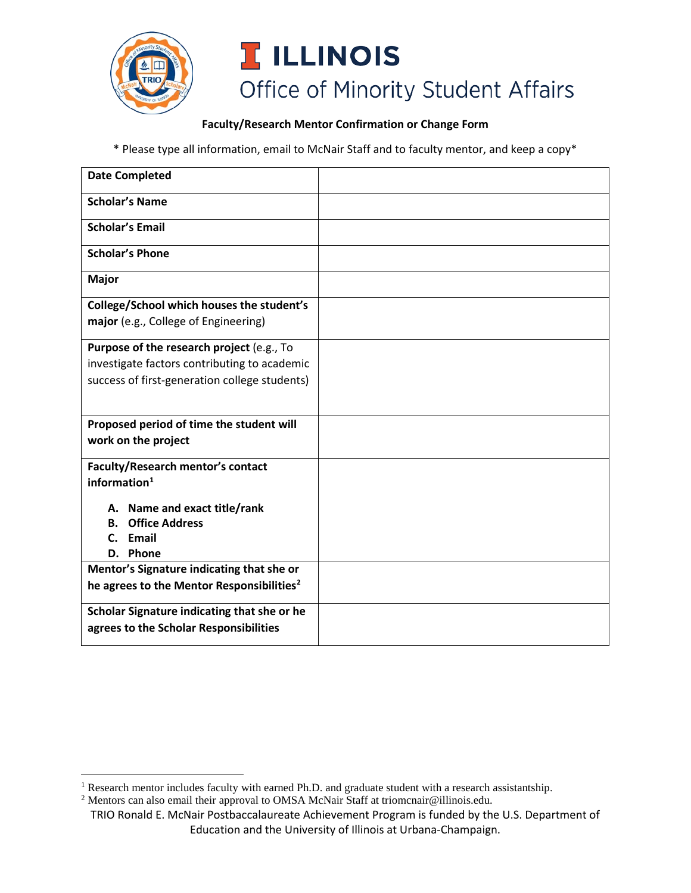

#### **Faculty/Research Mentor Confirmation or Change Form**

\* Please type all information, email to McNair Staff and to faculty mentor, and keep a copy\*

| <b>Date Completed</b>                                 |  |
|-------------------------------------------------------|--|
| <b>Scholar's Name</b>                                 |  |
| <b>Scholar's Email</b>                                |  |
| <b>Scholar's Phone</b>                                |  |
| <b>Major</b>                                          |  |
| College/School which houses the student's             |  |
| major (e.g., College of Engineering)                  |  |
| Purpose of the research project (e.g., To             |  |
| investigate factors contributing to academic          |  |
| success of first-generation college students)         |  |
|                                                       |  |
| Proposed period of time the student will              |  |
| work on the project                                   |  |
| <b>Faculty/Research mentor's contact</b>              |  |
| information $1$                                       |  |
| A. Name and exact title/rank                          |  |
| <b>Office Address</b><br><b>B.</b>                    |  |
| C. Email                                              |  |
| Phone<br>D.                                           |  |
| Mentor's Signature indicating that she or             |  |
| he agrees to the Mentor Responsibilities <sup>2</sup> |  |
| Scholar Signature indicating that she or he           |  |
| agrees to the Scholar Responsibilities                |  |

<span id="page-10-0"></span><sup>&</sup>lt;sup>1</sup> Research mentor includes faculty with earned Ph.D. and graduate student with a research assistantship.

<span id="page-10-1"></span><sup>&</sup>lt;sup>2</sup> Mentors can also email their approval to OMSA McNair Staff at triomcnair@illinois.edu.

TRIO Ronald E. McNair Postbaccalaureate Achievement Program is funded by the U.S. Department of Education and the University of Illinois at Urbana-Champaign.